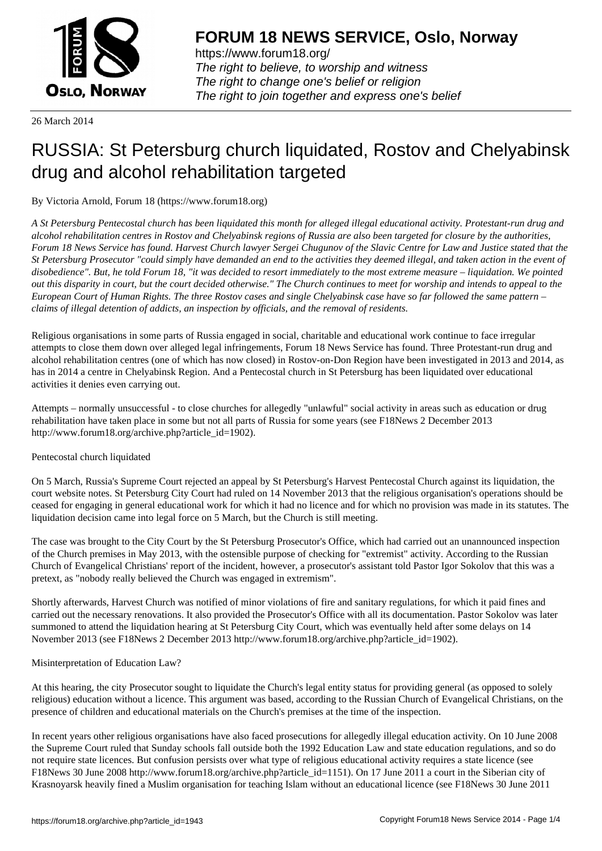

https://www.forum18.org/ The right to believe, to worship and witness The right to change one's belief or religion [The right to join together a](https://www.forum18.org/)nd express one's belief

26 March 2014

# [RUSSIA: St Pet](https://www.forum18.org)ersburg church liquidated, Rostov and Chelyabinsk drug and alcohol rehabilitation targeted

By Victoria Arnold, Forum 18 (https://www.forum18.org)

*A St Petersburg Pentecostal church has been liquidated this month for alleged illegal educational activity. Protestant-run drug and alcohol rehabilitation centres in Rostov and Chelyabinsk regions of Russia are also been targeted for closure by the authorities, Forum 18 News Service has found. Harvest Church lawyer Sergei Chugunov of the Slavic Centre for Law and Justice stated that the St Petersburg Prosecutor "could simply have demanded an end to the activities they deemed illegal, and taken action in the event of disobedience". But, he told Forum 18, "it was decided to resort immediately to the most extreme measure – liquidation. We pointed out this disparity in court, but the court decided otherwise." The Church continues to meet for worship and intends to appeal to the European Court of Human Rights. The three Rostov cases and single Chelyabinsk case have so far followed the same pattern – claims of illegal detention of addicts, an inspection by officials, and the removal of residents.*

Religious organisations in some parts of Russia engaged in social, charitable and educational work continue to face irregular attempts to close them down over alleged legal infringements, Forum 18 News Service has found. Three Protestant-run drug and alcohol rehabilitation centres (one of which has now closed) in Rostov-on-Don Region have been investigated in 2013 and 2014, as has in 2014 a centre in Chelyabinsk Region. And a Pentecostal church in St Petersburg has been liquidated over educational activities it denies even carrying out.

Attempts – normally unsuccessful - to close churches for allegedly "unlawful" social activity in areas such as education or drug rehabilitation have taken place in some but not all parts of Russia for some years (see F18News 2 December 2013 http://www.forum18.org/archive.php?article\_id=1902).

# Pentecostal church liquidated

On 5 March, Russia's Supreme Court rejected an appeal by St Petersburg's Harvest Pentecostal Church against its liquidation, the court website notes. St Petersburg City Court had ruled on 14 November 2013 that the religious organisation's operations should be ceased for engaging in general educational work for which it had no licence and for which no provision was made in its statutes. The liquidation decision came into legal force on 5 March, but the Church is still meeting.

The case was brought to the City Court by the St Petersburg Prosecutor's Office, which had carried out an unannounced inspection of the Church premises in May 2013, with the ostensible purpose of checking for "extremist" activity. According to the Russian Church of Evangelical Christians' report of the incident, however, a prosecutor's assistant told Pastor Igor Sokolov that this was a pretext, as "nobody really believed the Church was engaged in extremism".

Shortly afterwards, Harvest Church was notified of minor violations of fire and sanitary regulations, for which it paid fines and carried out the necessary renovations. It also provided the Prosecutor's Office with all its documentation. Pastor Sokolov was later summoned to attend the liquidation hearing at St Petersburg City Court, which was eventually held after some delays on 14 November 2013 (see F18News 2 December 2013 http://www.forum18.org/archive.php?article\_id=1902).

## Misinterpretation of Education Law?

At this hearing, the city Prosecutor sought to liquidate the Church's legal entity status for providing general (as opposed to solely religious) education without a licence. This argument was based, according to the Russian Church of Evangelical Christians, on the presence of children and educational materials on the Church's premises at the time of the inspection.

In recent years other religious organisations have also faced prosecutions for allegedly illegal education activity. On 10 June 2008 the Supreme Court ruled that Sunday schools fall outside both the 1992 Education Law and state education regulations, and so do not require state licences. But confusion persists over what type of religious educational activity requires a state licence (see F18News 30 June 2008 http://www.forum18.org/archive.php?article\_id=1151). On 17 June 2011 a court in the Siberian city of Krasnoyarsk heavily fined a Muslim organisation for teaching Islam without an educational licence (see F18News 30 June 2011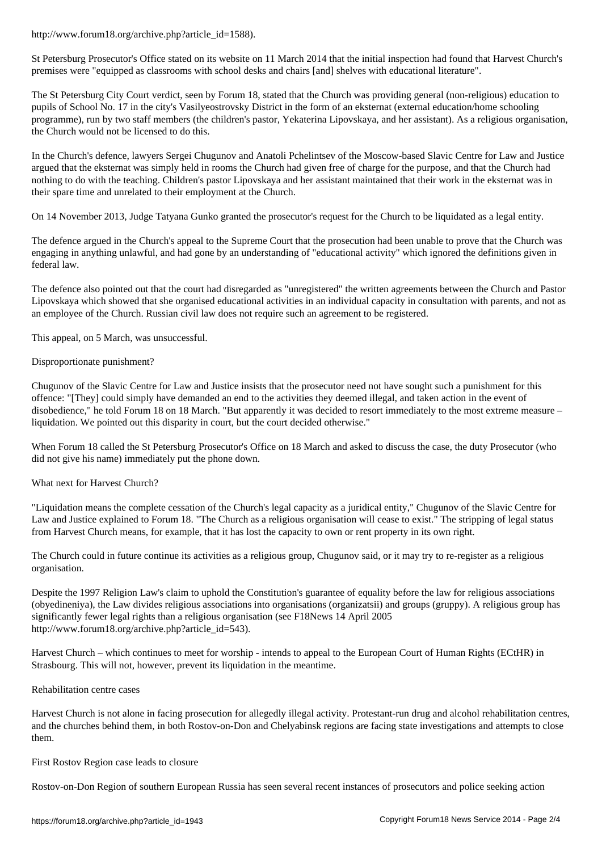St Petersburg Prosecutor's Office stated on its website on 11 March 2014 that the initial inspection had found that Harvest Church's premises were "equipped as classrooms with school desks and chairs [and] shelves with educational literature".

The St Petersburg City Court verdict, seen by Forum 18, stated that the Church was providing general (non-religious) education to pupils of School No. 17 in the city's Vasilyeostrovsky District in the form of an eksternat (external education/home schooling programme), run by two staff members (the children's pastor, Yekaterina Lipovskaya, and her assistant). As a religious organisation, the Church would not be licensed to do this.

In the Church's defence, lawyers Sergei Chugunov and Anatoli Pchelintsev of the Moscow-based Slavic Centre for Law and Justice argued that the eksternat was simply held in rooms the Church had given free of charge for the purpose, and that the Church had nothing to do with the teaching. Children's pastor Lipovskaya and her assistant maintained that their work in the eksternat was in their spare time and unrelated to their employment at the Church.

On 14 November 2013, Judge Tatyana Gunko granted the prosecutor's request for the Church to be liquidated as a legal entity.

The defence argued in the Church's appeal to the Supreme Court that the prosecution had been unable to prove that the Church was engaging in anything unlawful, and had gone by an understanding of "educational activity" which ignored the definitions given in federal law.

The defence also pointed out that the court had disregarded as "unregistered" the written agreements between the Church and Pastor Lipovskaya which showed that she organised educational activities in an individual capacity in consultation with parents, and not as an employee of the Church. Russian civil law does not require such an agreement to be registered.

This appeal, on 5 March, was unsuccessful.

#### Disproportionate punishment?

Chugunov of the Slavic Centre for Law and Justice insists that the prosecutor need not have sought such a punishment for this offence: "[They] could simply have demanded an end to the activities they deemed illegal, and taken action in the event of disobedience," he told Forum 18 on 18 March. "But apparently it was decided to resort immediately to the most extreme measure – liquidation. We pointed out this disparity in court, but the court decided otherwise."

When Forum 18 called the St Petersburg Prosecutor's Office on 18 March and asked to discuss the case, the duty Prosecutor (who did not give his name) immediately put the phone down.

What next for Harvest Church?

"Liquidation means the complete cessation of the Church's legal capacity as a juridical entity," Chugunov of the Slavic Centre for Law and Justice explained to Forum 18. "The Church as a religious organisation will cease to exist." The stripping of legal status from Harvest Church means, for example, that it has lost the capacity to own or rent property in its own right.

The Church could in future continue its activities as a religious group, Chugunov said, or it may try to re-register as a religious organisation.

Despite the 1997 Religion Law's claim to uphold the Constitution's guarantee of equality before the law for religious associations (obyedineniya), the Law divides religious associations into organisations (organizatsii) and groups (gruppy). A religious group has significantly fewer legal rights than a religious organisation (see F18News 14 April 2005 http://www.forum18.org/archive.php?article\_id=543).

Harvest Church – which continues to meet for worship - intends to appeal to the European Court of Human Rights (ECtHR) in Strasbourg. This will not, however, prevent its liquidation in the meantime.

#### Rehabilitation centre cases

Harvest Church is not alone in facing prosecution for allegedly illegal activity. Protestant-run drug and alcohol rehabilitation centres, and the churches behind them, in both Rostov-on-Don and Chelyabinsk regions are facing state investigations and attempts to close them.

First Rostov Region case leads to closure

Rostov-on-Don Region of southern European Russia has seen several recent instances of prosecutors and police seeking action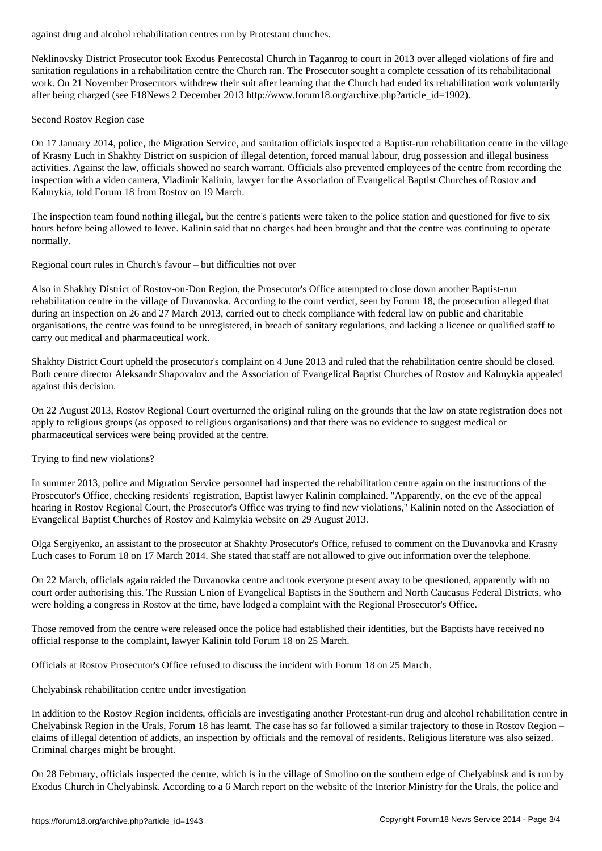Neklinovsky District Prosecutor took Exodus Pentecostal Church in Taganrog to court in 2013 over alleged violations of fire and sanitation regulations in a rehabilitation centre the Church ran. The Prosecutor sought a complete cessation of its rehabilitational work. On 21 November Prosecutors withdrew their suit after learning that the Church had ended its rehabilitation work voluntarily after being charged (see F18News 2 December 2013 http://www.forum18.org/archive.php?article\_id=1902).

## Second Rostov Region case

On 17 January 2014, police, the Migration Service, and sanitation officials inspected a Baptist-run rehabilitation centre in the village of Krasny Luch in Shakhty District on suspicion of illegal detention, forced manual labour, drug possession and illegal business activities. Against the law, officials showed no search warrant. Officials also prevented employees of the centre from recording the inspection with a video camera, Vladimir Kalinin, lawyer for the Association of Evangelical Baptist Churches of Rostov and Kalmykia, told Forum 18 from Rostov on 19 March.

The inspection team found nothing illegal, but the centre's patients were taken to the police station and questioned for five to six hours before being allowed to leave. Kalinin said that no charges had been brought and that the centre was continuing to operate normally.

Regional court rules in Church's favour – but difficulties not over

Also in Shakhty District of Rostov-on-Don Region, the Prosecutor's Office attempted to close down another Baptist-run rehabilitation centre in the village of Duvanovka. According to the court verdict, seen by Forum 18, the prosecution alleged that during an inspection on 26 and 27 March 2013, carried out to check compliance with federal law on public and charitable organisations, the centre was found to be unregistered, in breach of sanitary regulations, and lacking a licence or qualified staff to carry out medical and pharmaceutical work.

Shakhty District Court upheld the prosecutor's complaint on 4 June 2013 and ruled that the rehabilitation centre should be closed. Both centre director Aleksandr Shapovalov and the Association of Evangelical Baptist Churches of Rostov and Kalmykia appealed against this decision.

On 22 August 2013, Rostov Regional Court overturned the original ruling on the grounds that the law on state registration does not apply to religious groups (as opposed to religious organisations) and that there was no evidence to suggest medical or pharmaceutical services were being provided at the centre.

Trying to find new violations?

In summer 2013, police and Migration Service personnel had inspected the rehabilitation centre again on the instructions of the Prosecutor's Office, checking residents' registration, Baptist lawyer Kalinin complained. "Apparently, on the eve of the appeal hearing in Rostov Regional Court, the Prosecutor's Office was trying to find new violations," Kalinin noted on the Association of Evangelical Baptist Churches of Rostov and Kalmykia website on 29 August 2013.

Olga Sergiyenko, an assistant to the prosecutor at Shakhty Prosecutor's Office, refused to comment on the Duvanovka and Krasny Luch cases to Forum 18 on 17 March 2014. She stated that staff are not allowed to give out information over the telephone.

On 22 March, officials again raided the Duvanovka centre and took everyone present away to be questioned, apparently with no court order authorising this. The Russian Union of Evangelical Baptists in the Southern and North Caucasus Federal Districts, who were holding a congress in Rostov at the time, have lodged a complaint with the Regional Prosecutor's Office.

Those removed from the centre were released once the police had established their identities, but the Baptists have received no official response to the complaint, lawyer Kalinin told Forum 18 on 25 March.

Officials at Rostov Prosecutor's Office refused to discuss the incident with Forum 18 on 25 March.

Chelyabinsk rehabilitation centre under investigation

In addition to the Rostov Region incidents, officials are investigating another Protestant-run drug and alcohol rehabilitation centre in Chelyabinsk Region in the Urals, Forum 18 has learnt. The case has so far followed a similar trajectory to those in Rostov Region – claims of illegal detention of addicts, an inspection by officials and the removal of residents. Religious literature was also seized. Criminal charges might be brought.

On 28 February, officials inspected the centre, which is in the village of Smolino on the southern edge of Chelyabinsk and is run by Exodus Church in Chelyabinsk. According to a 6 March report on the website of the Interior Ministry for the Urals, the police and